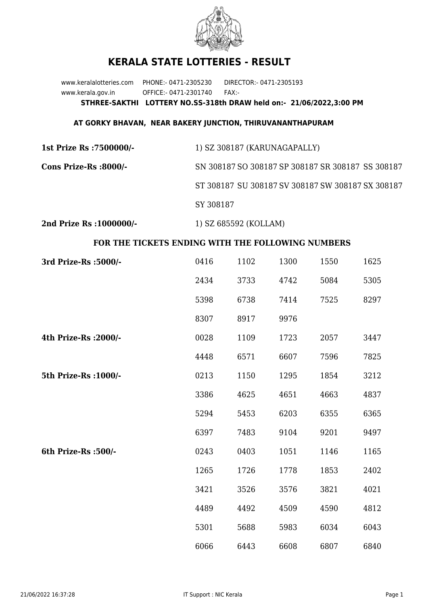

## **KERALA STATE LOTTERIES - RESULT**

www.keralalotteries.com PHONE:- 0471-2305230 DIRECTOR:- 0471-2305193 www.kerala.gov.in OFFICE:- 0471-2301740 FAX:- **STHREE-SAKTHI LOTTERY NO.SS-318th DRAW held on:- 21/06/2022,3:00 PM**

## **AT GORKY BHAVAN, NEAR BAKERY JUNCTION, THIRUVANANTHAPURAM**

| 1st Prize Rs :7500000/- | 1) SZ 308187 (KARUNAGAPALLY)                      |  |  |
|-------------------------|---------------------------------------------------|--|--|
| Cons Prize-Rs :8000/-   | SN 308187 SO 308187 SP 308187 SR 308187 SS 308187 |  |  |
|                         | ST 308187 SU 308187 SV 308187 SW 308187 SX 308187 |  |  |
|                         | SY 308187                                         |  |  |
|                         |                                                   |  |  |

**2nd Prize Rs :1000000/-** 1) SZ 685592 (KOLLAM)

## **FOR THE TICKETS ENDING WITH THE FOLLOWING NUMBERS**

| 3rd Prize-Rs : 5000/- | 0416 | 1102 | 1300 | 1550 | 1625 |
|-----------------------|------|------|------|------|------|
|                       | 2434 | 3733 | 4742 | 5084 | 5305 |
|                       | 5398 | 6738 | 7414 | 7525 | 8297 |
|                       | 8307 | 8917 | 9976 |      |      |
| 4th Prize-Rs : 2000/- | 0028 | 1109 | 1723 | 2057 | 3447 |
|                       | 4448 | 6571 | 6607 | 7596 | 7825 |
| 5th Prize-Rs : 1000/- | 0213 | 1150 | 1295 | 1854 | 3212 |
|                       | 3386 | 4625 | 4651 | 4663 | 4837 |
|                       | 5294 | 5453 | 6203 | 6355 | 6365 |
|                       | 6397 | 7483 | 9104 | 9201 | 9497 |
| 6th Prize-Rs :500/-   | 0243 | 0403 | 1051 | 1146 | 1165 |
|                       | 1265 | 1726 | 1778 | 1853 | 2402 |
|                       | 3421 | 3526 | 3576 | 3821 | 4021 |
|                       | 4489 | 4492 | 4509 | 4590 | 4812 |
|                       | 5301 | 5688 | 5983 | 6034 | 6043 |
|                       | 6066 | 6443 | 6608 | 6807 | 6840 |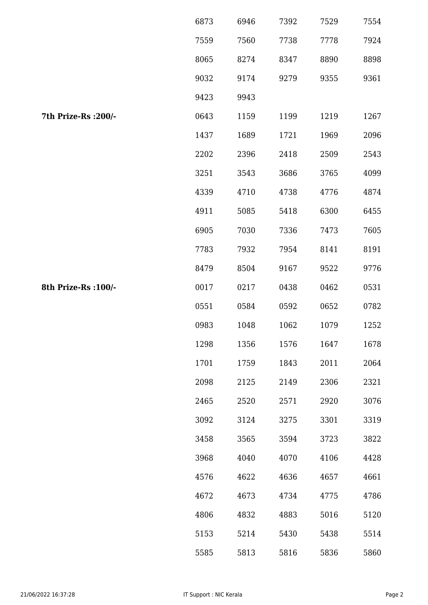|                      | 6873 | 6946 | 7392 | 7529 | 7554 |
|----------------------|------|------|------|------|------|
|                      | 7559 | 7560 | 7738 | 7778 | 7924 |
|                      | 8065 | 8274 | 8347 | 8890 | 8898 |
|                      | 9032 | 9174 | 9279 | 9355 | 9361 |
|                      | 9423 | 9943 |      |      |      |
| 7th Prize-Rs : 200/- | 0643 | 1159 | 1199 | 1219 | 1267 |
|                      | 1437 | 1689 | 1721 | 1969 | 2096 |
|                      | 2202 | 2396 | 2418 | 2509 | 2543 |
|                      | 3251 | 3543 | 3686 | 3765 | 4099 |
|                      | 4339 | 4710 | 4738 | 4776 | 4874 |
|                      | 4911 | 5085 | 5418 | 6300 | 6455 |
|                      | 6905 | 7030 | 7336 | 7473 | 7605 |
|                      | 7783 | 7932 | 7954 | 8141 | 8191 |
|                      | 8479 | 8504 | 9167 | 9522 | 9776 |
| 8th Prize-Rs : 100/- | 0017 | 0217 | 0438 | 0462 | 0531 |
|                      | 0551 | 0584 | 0592 | 0652 | 0782 |
|                      | 0983 | 1048 | 1062 | 1079 | 1252 |
|                      | 1298 | 1356 | 1576 | 1647 | 1678 |
|                      | 1701 | 1759 | 1843 | 2011 | 2064 |
|                      | 2098 | 2125 | 2149 | 2306 | 2321 |
|                      | 2465 | 2520 | 2571 | 2920 | 3076 |
|                      | 3092 | 3124 | 3275 | 3301 | 3319 |
|                      | 3458 | 3565 | 3594 | 3723 | 3822 |
|                      | 3968 | 4040 | 4070 | 4106 | 4428 |
|                      | 4576 | 4622 | 4636 | 4657 | 4661 |
|                      | 4672 | 4673 | 4734 | 4775 | 4786 |
|                      | 4806 | 4832 | 4883 | 5016 | 5120 |
|                      | 5153 | 5214 | 5430 | 5438 | 5514 |
|                      | 5585 | 5813 | 5816 | 5836 | 5860 |